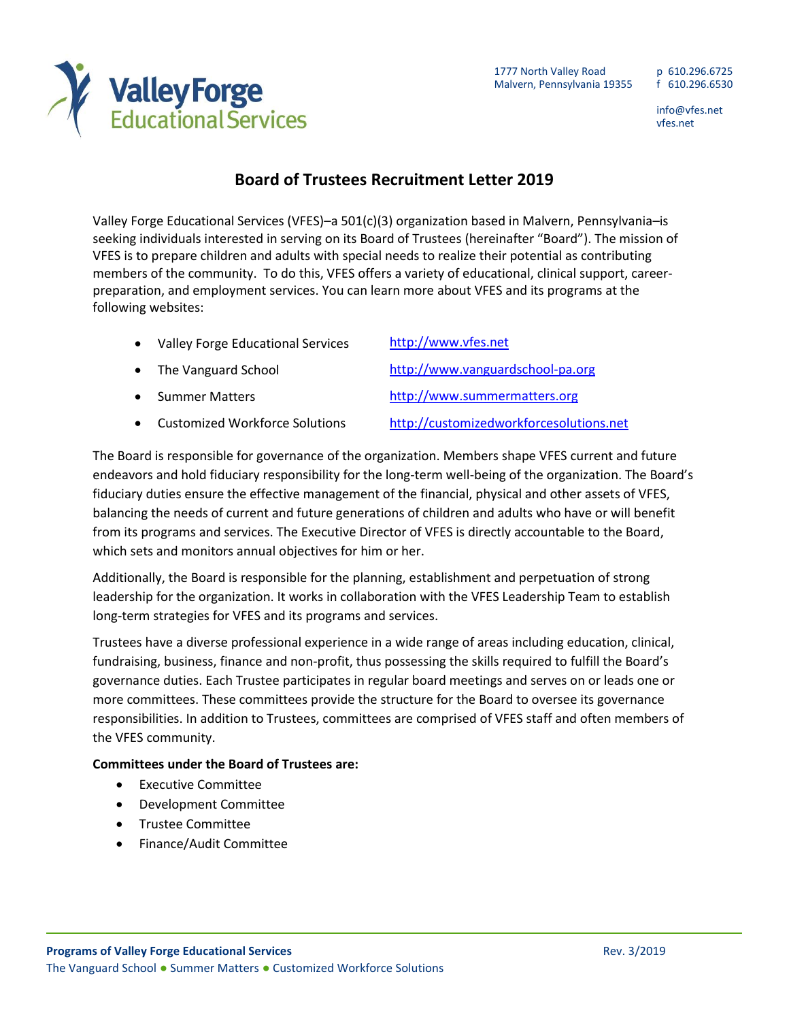

## **Valley Forge**<br>Educational Services

## **Board of Trustees Recruitment Letter 2019**

Valley Forge Educational Services (VFES)–a 501(c)(3) organization based in Malvern, Pennsylvania–is seeking individuals interested in serving on its Board of Trustees (hereinafter "Board"). The mission of VFES is to prepare children and adults with special needs to realize their potential as contributing members of the community. To do this, VFES offers a variety of educational, clinical support, careerpreparation, and employment services. You can learn more about VFES and its programs at the following websites:

| $\bullet$ | <b>Valley Forge Educational Services</b> | http://www.vfes.net                     |
|-----------|------------------------------------------|-----------------------------------------|
| $\bullet$ | The Vanguard School                      | http://www.vanguardschool-pa.org        |
| $\bullet$ | <b>Summer Matters</b>                    | http://www.summermatters.org            |
| $\bullet$ | <b>Customized Workforce Solutions</b>    | http://customizedworkforcesolutions.net |

The Board is responsible for governance of the organization. Members shape VFES current and future endeavors and hold fiduciary responsibility for the long-term well-being of the organization. The Board's fiduciary duties ensure the effective management of the financial, physical and other assets of VFES, balancing the needs of current and future generations of children and adults who have or will benefit from its programs and services. The Executive Director of VFES is directly accountable to the Board, which sets and monitors annual objectives for him or her.

Additionally, the Board is responsible for the planning, establishment and perpetuation of strong leadership for the organization. It works in collaboration with the VFES Leadership Team to establish long-term strategies for VFES and its programs and services.

Trustees have a diverse professional experience in a wide range of areas including education, clinical, fundraising, business, finance and non-profit, thus possessing the skills required to fulfill the Board's governance duties. Each Trustee participates in regular board meetings and serves on or leads one or more committees. These committees provide the structure for the Board to oversee its governance responsibilities. In addition to Trustees, committees are comprised of VFES staff and often members of the VFES community.

## **Committees under the Board of Trustees are:**

- **•** Executive Committee
- Development Committee
- **•** Trustee Committee
- Finance/Audit Committee